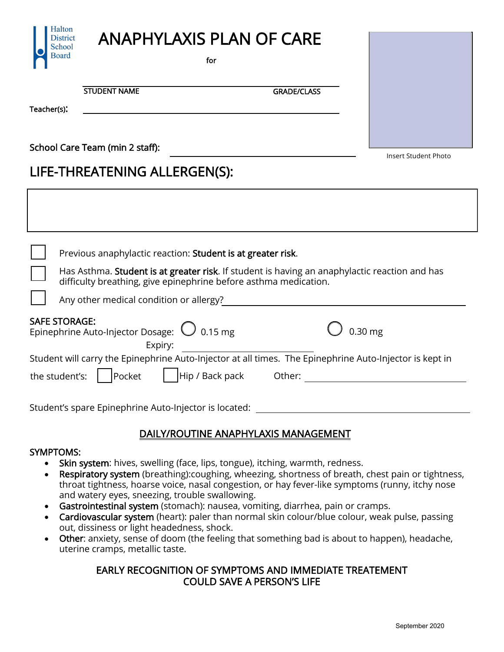

for

STUDENT NAME GRADE/CLASS

Teacher(s):

Halton **District School Board** 

School Care Team (min 2 staff):

Insert Student Photo

# LIFE-THREATENING ALLERGEN(S):

|                                                                                                         | Previous anaphylactic reaction: Student is at greater risk.<br>Has Asthma. Student is at greater risk. If student is having an anaphylactic reaction and has<br>difficulty breathing, give epinephrine before asthma medication. |  |  |  |  |  |
|---------------------------------------------------------------------------------------------------------|----------------------------------------------------------------------------------------------------------------------------------------------------------------------------------------------------------------------------------|--|--|--|--|--|
|                                                                                                         | Any other medical condition or allergy?                                                                                                                                                                                          |  |  |  |  |  |
|                                                                                                         | <b>SAFE STORAGE:</b><br>Epinephrine Auto-Injector Dosage: $\bigcirc$ 0.15 mg<br>$0.30$ mg<br>Expiry:                                                                                                                             |  |  |  |  |  |
| Student will carry the Epinephrine Auto-Injector at all times. The Epinephrine Auto-Injector is kept in |                                                                                                                                                                                                                                  |  |  |  |  |  |
|                                                                                                         | the student's:<br>Hip / Back pack<br>Other:<br>Pocket                                                                                                                                                                            |  |  |  |  |  |

Student's spare Epinephrine Auto-Injector is located:

# DAILY/ROUTINE ANAPHYLAXIS MANAGEMENT

#### SYMPTOMS:

- Skin system: hives, swelling (face, lips, tongue), itching, warmth, redness.
- Respiratory system (breathing): coughing, wheezing, shortness of breath, chest pain or tightness, throat tightness, hoarse voice, nasal congestion, or hay fever-like symptoms (runny, itchy nose and watery eyes, sneezing, trouble swallowing.
- Gastrointestinal system (stomach): nausea, vomiting, diarrhea, pain or cramps.
- Cardiovascular system (heart): paler than normal skin colour/blue colour, weak pulse, passing out, dissiness or light headedness, shock.
- Other: anxiety, sense of doom (the feeling that something bad is about to happen), headache, uterine cramps, metallic taste.

## EARLY RECOGNITION OF SYMPTOMS AND IMMEDIATE TREATEMENT COULD SAVE A PERSON'S LIFE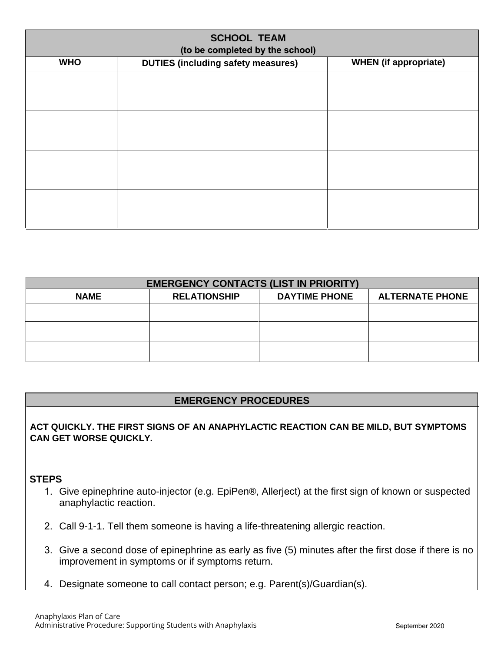| <b>SCHOOL TEAM</b><br>(to be completed by the school) |                                           |                              |  |  |  |  |  |
|-------------------------------------------------------|-------------------------------------------|------------------------------|--|--|--|--|--|
| <b>WHO</b>                                            | <b>DUTIES (including safety measures)</b> | <b>WHEN</b> (if appropriate) |  |  |  |  |  |
|                                                       |                                           |                              |  |  |  |  |  |
|                                                       |                                           |                              |  |  |  |  |  |
|                                                       |                                           |                              |  |  |  |  |  |
|                                                       |                                           |                              |  |  |  |  |  |
|                                                       |                                           |                              |  |  |  |  |  |
|                                                       |                                           |                              |  |  |  |  |  |
|                                                       |                                           |                              |  |  |  |  |  |
|                                                       |                                           |                              |  |  |  |  |  |
|                                                       |                                           |                              |  |  |  |  |  |
|                                                       |                                           |                              |  |  |  |  |  |
|                                                       |                                           |                              |  |  |  |  |  |

| <b>EMERGENCY CONTACTS (LIST IN PRIORITY)</b> |                     |                      |                        |  |  |  |  |  |
|----------------------------------------------|---------------------|----------------------|------------------------|--|--|--|--|--|
| <b>NAME</b>                                  | <b>RELATIONSHIP</b> | <b>DAYTIME PHONE</b> | <b>ALTERNATE PHONE</b> |  |  |  |  |  |
|                                              |                     |                      |                        |  |  |  |  |  |
|                                              |                     |                      |                        |  |  |  |  |  |
|                                              |                     |                      |                        |  |  |  |  |  |

### **EMERGENCY PROCEDURES**

**ACT QUICKLY. THE FIRST SIGNS OF AN ANAPHYLACTIC REACTION CAN BE MILD, BUT SYMPTOMS CAN GET WORSE QUICKLY***.* 

### **STEPS**

- 1. Give epinephrine auto-injector (e.g. EpiPen®, Allerject) at the first sign of known or suspected anaphylactic reaction.
- 2. Call 9-1-1. Tell them someone is having a life-threatening allergic reaction.
- 3. Give a second dose of epinephrine as early as five (5) minutes after the first dose if there is no improvement in symptoms or if symptoms return.
- 4. Designate someone to call contact person; e.g. Parent(s)/Guardian(s).